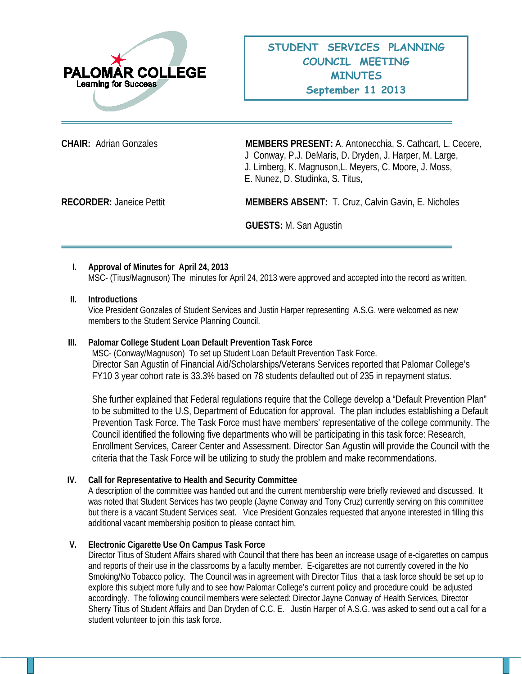

**CHAIR:** Adrian Gonzales **MEMBERS PRESENT:** A. Antonecchia, S. Cathcart, L. Cecere, J Conway, P.J. DeMaris, D. Dryden, J. Harper, M. Large, J. Limberg, K. Magnuson,L. Meyers, C. Moore, J. Moss, E. Nunez, D. Studinka, S. Titus,

**RECORDER:** Janeice Pettit **MEMBERS ABSENT:** T. Cruz, Calvin Gavin, E. Nicholes

**GUESTS:** M. San Agustin

# **I. Approval of Minutes for April 24, 2013**

MSC- (Titus/Magnuson) The minutes for April 24, 2013 were approved and accepted into the record as written.

## **II. Introductions**

Vice President Gonzales of Student Services and Justin Harper representing A.S.G. were welcomed as new members to the Student Service Planning Council.

# **III. Palomar College Student Loan Default Prevention Task Force**

MSC- (Conway/Magnuson) To set up Student Loan Default Prevention Task Force. Director San Agustin of Financial Aid/Scholarships/Veterans Services reported that Palomar College's FY10 3 year cohort rate is 33.3% based on 78 students defaulted out of 235 in repayment status.

She further explained that Federal regulations require that the College develop a "Default Prevention Plan" to be submitted to the U.S, Department of Education for approval. The plan includes establishing a Default Prevention Task Force. The Task Force must have members' representative of the college community. The Council identified the following five departments who will be participating in this task force: Research, Enrollment Services, Career Center and Assessment. Director San Agustin will provide the Council with the criteria that the Task Force will be utilizing to study the problem and make recommendations.

# **IV. Call for Representative to Health and Security Committee**

A description of the committee was handed out and the current membership were briefly reviewed and discussed. It was noted that Student Services has two people (Jayne Conway and Tony Cruz) currently serving on this committee but there is a vacant Student Services seat. Vice President Gonzales requested that anyone interested in filling this additional vacant membership position to please contact him.

# **V. Electronic Cigarette Use On Campus Task Force**

Director Titus of Student Affairs shared with Council that there has been an increase usage of e-cigarettes on campus and reports of their use in the classrooms by a faculty member. E-cigarettes are not currently covered in the No Smoking/No Tobacco policy. The Council was in agreement with Director Titus that a task force should be set up to explore this subject more fully and to see how Palomar College's current policy and procedure could be adjusted accordingly. The following council members were selected: Director Jayne Conway of Health Services, Director Sherry Titus of Student Affairs and Dan Dryden of C.C. E. Justin Harper of A.S.G. was asked to send out a call for a student volunteer to join this task force.